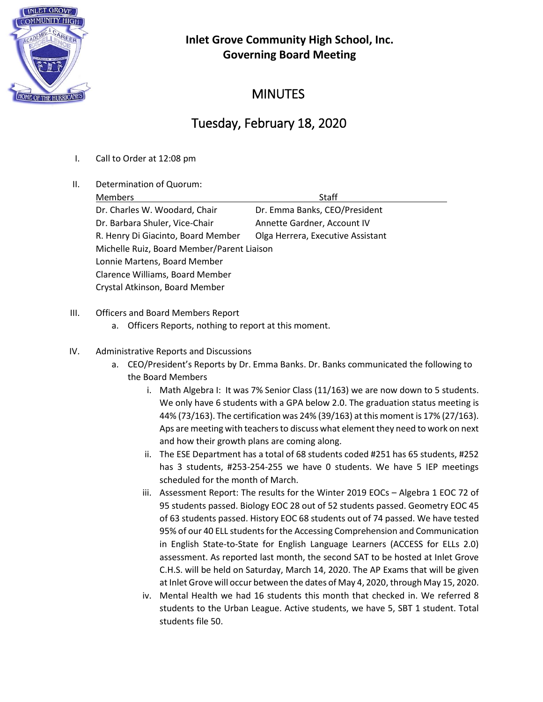

## **Inlet Grove Community High School, Inc. Governing Board Meeting**

## **MINUTES**

# Tuesday, February 18, 2020

- I. Call to Order at 12:08 pm
- II. Determination of Quorum:

| <b>Members</b>                             | Staff                             |  |
|--------------------------------------------|-----------------------------------|--|
| Dr. Charles W. Woodard, Chair              | Dr. Emma Banks, CEO/President     |  |
| Dr. Barbara Shuler, Vice-Chair             | Annette Gardner, Account IV       |  |
| R. Henry Di Giacinto, Board Member         | Olga Herrera, Executive Assistant |  |
| Michelle Ruiz, Board Member/Parent Liaison |                                   |  |
| Lonnie Martens, Board Member               |                                   |  |
| Clarence Williams, Board Member            |                                   |  |
| Crystal Atkinson, Board Member             |                                   |  |
|                                            |                                   |  |

#### III. Officers and Board Members Report

- a. Officers Reports, nothing to report at this moment.
- IV. Administrative Reports and Discussions
	- a. CEO/President's Reports by Dr. Emma Banks. Dr. Banks communicated the following to the Board Members
		- i. Math Algebra I: It was 7% Senior Class (11/163) we are now down to 5 students. We only have 6 students with a GPA below 2.0. The graduation status meeting is 44% (73/163). The certification was 24% (39/163) at this moment is 17% (27/163). Aps are meeting with teachers to discuss what element they need to work on next and how their growth plans are coming along.
		- ii. The ESE Department has a total of 68 students coded #251 has 65 students, #252 has 3 students, #253-254-255 we have 0 students. We have 5 IEP meetings scheduled for the month of March.
		- iii. Assessment Report: The results for the Winter 2019 EOCs Algebra 1 EOC 72 of 95 students passed. Biology EOC 28 out of 52 students passed. Geometry EOC 45 of 63 students passed. History EOC 68 students out of 74 passed. We have tested 95% of our 40 ELL students for the Accessing Comprehension and Communication in English State-to-State for English Language Learners (ACCESS for ELLs 2.0) assessment. As reported last month, the second SAT to be hosted at Inlet Grove C.H.S. will be held on Saturday, March 14, 2020. The AP Exams that will be given at Inlet Grove will occur between the dates of May 4, 2020, through May 15, 2020.
		- iv. Mental Health we had 16 students this month that checked in. We referred 8 students to the Urban League. Active students, we have 5, SBT 1 student. Total students file 50.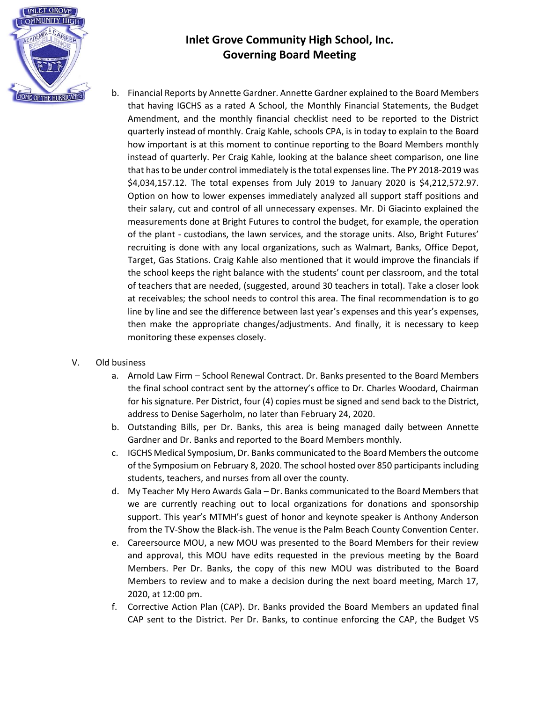

### **Inlet Grove Community High School, Inc. Governing Board Meeting**

b. Financial Reports by Annette Gardner. Annette Gardner explained to the Board Members that having IGCHS as a rated A School, the Monthly Financial Statements, the Budget Amendment, and the monthly financial checklist need to be reported to the District quarterly instead of monthly. Craig Kahle, schools CPA, is in today to explain to the Board how important is at this moment to continue reporting to the Board Members monthly instead of quarterly. Per Craig Kahle, looking at the balance sheet comparison, one line that has to be under control immediately is the total expenses line. The PY 2018-2019 was \$4,034,157.12. The total expenses from July 2019 to January 2020 is \$4,212,572.97. Option on how to lower expenses immediately analyzed all support staff positions and their salary, cut and control of all unnecessary expenses. Mr. Di Giacinto explained the measurements done at Bright Futures to control the budget, for example, the operation of the plant - custodians, the lawn services, and the storage units. Also, Bright Futures' recruiting is done with any local organizations, such as Walmart, Banks, Office Depot, Target, Gas Stations. Craig Kahle also mentioned that it would improve the financials if the school keeps the right balance with the students' count per classroom, and the total of teachers that are needed, (suggested, around 30 teachers in total). Take a closer look at receivables; the school needs to control this area. The final recommendation is to go line by line and see the difference between last year's expenses and this year's expenses, then make the appropriate changes/adjustments. And finally, it is necessary to keep monitoring these expenses closely.

#### V. Old business

- a. Arnold Law Firm School Renewal Contract. Dr. Banks presented to the Board Members the final school contract sent by the attorney's office to Dr. Charles Woodard, Chairman for his signature. Per District, four (4) copies must be signed and send back to the District, address to Denise Sagerholm, no later than February 24, 2020.
- b. Outstanding Bills, per Dr. Banks, this area is being managed daily between Annette Gardner and Dr. Banks and reported to the Board Members monthly.
- c. IGCHS Medical Symposium, Dr. Banks communicated to the Board Members the outcome of the Symposium on February 8, 2020. The school hosted over 850 participants including students, teachers, and nurses from all over the county.
- d. My Teacher My Hero Awards Gala Dr. Banks communicated to the Board Members that we are currently reaching out to local organizations for donations and sponsorship support. This year's MTMH's guest of honor and keynote speaker is Anthony Anderson from the TV-Show the Black-ish. The venue is the Palm Beach County Convention Center.
- e. Careersource MOU, a new MOU was presented to the Board Members for their review and approval, this MOU have edits requested in the previous meeting by the Board Members. Per Dr. Banks, the copy of this new MOU was distributed to the Board Members to review and to make a decision during the next board meeting, March 17, 2020, at 12:00 pm.
- f. Corrective Action Plan (CAP). Dr. Banks provided the Board Members an updated final CAP sent to the District. Per Dr. Banks, to continue enforcing the CAP, the Budget VS